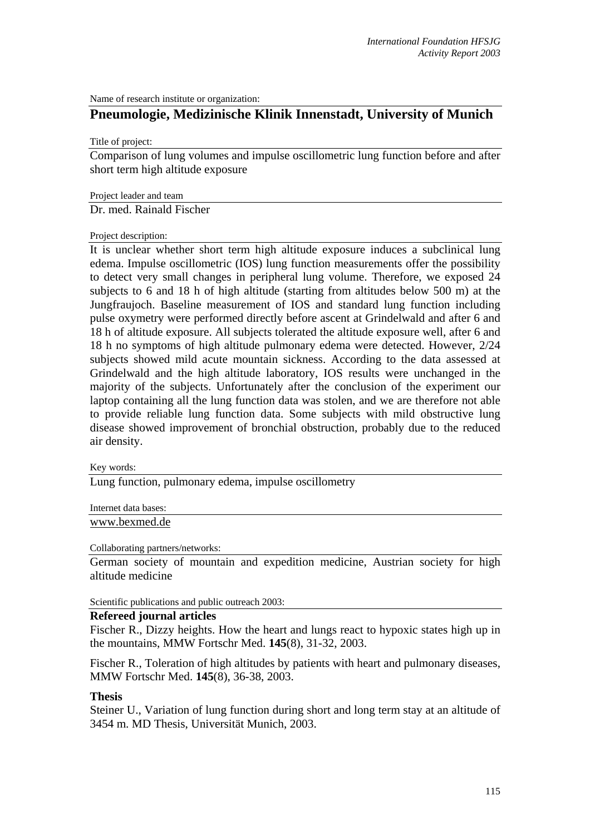Name of research institute or organization:

## **Pneumologie, Medizinische Klinik Innenstadt, University of Munich**

Title of project:

Comparison of lung volumes and impulse oscillometric lung function before and after short term high altitude exposure

Project leader and team

Dr. med. Rainald Fischer

Project description:

It is unclear whether short term high altitude exposure induces a subclinical lung edema. Impulse oscillometric (IOS) lung function measurements offer the possibility to detect very small changes in peripheral lung volume. Therefore, we exposed 24 subjects to 6 and 18 h of high altitude (starting from altitudes below 500 m) at the Jungfraujoch. Baseline measurement of IOS and standard lung function including pulse oxymetry were performed directly before ascent at Grindelwald and after 6 and 18 h of altitude exposure. All subjects tolerated the altitude exposure well, after 6 and 18 h no symptoms of high altitude pulmonary edema were detected. However, 2/24 subjects showed mild acute mountain sickness. According to the data assessed at Grindelwald and the high altitude laboratory, IOS results were unchanged in the majority of the subjects. Unfortunately after the conclusion of the experiment our laptop containing all the lung function data was stolen, and we are therefore not able to provide reliable lung function data. Some subjects with mild obstructive lung disease showed improvement of bronchial obstruction, probably due to the reduced air density.

Key words:

Lung function, pulmonary edema, impulse oscillometry

Internet data bases:

[www.bexmed.de](http://kspc4.unibe.ch/nm)

## Collaborating partners/networks:

German society of mountain and expedition medicine, Austrian society for high altitude medicine

Scientific publications and public outreach 2003:

## **Refereed journal articles**

Fischer R., Dizzy heights. How the heart and lungs react to hypoxic states high up in the mountains, MMW Fortschr Med. **145**(8), 31-32, 2003.

Fischer R., Toleration of high altitudes by patients with heart and pulmonary diseases, MMW Fortschr Med. **145**(8), 36-38, 2003.

## **Thesis**

Steiner U., Variation of lung function during short and long term stay at an altitude of 3454 m. MD Thesis, Universität Munich, 2003.